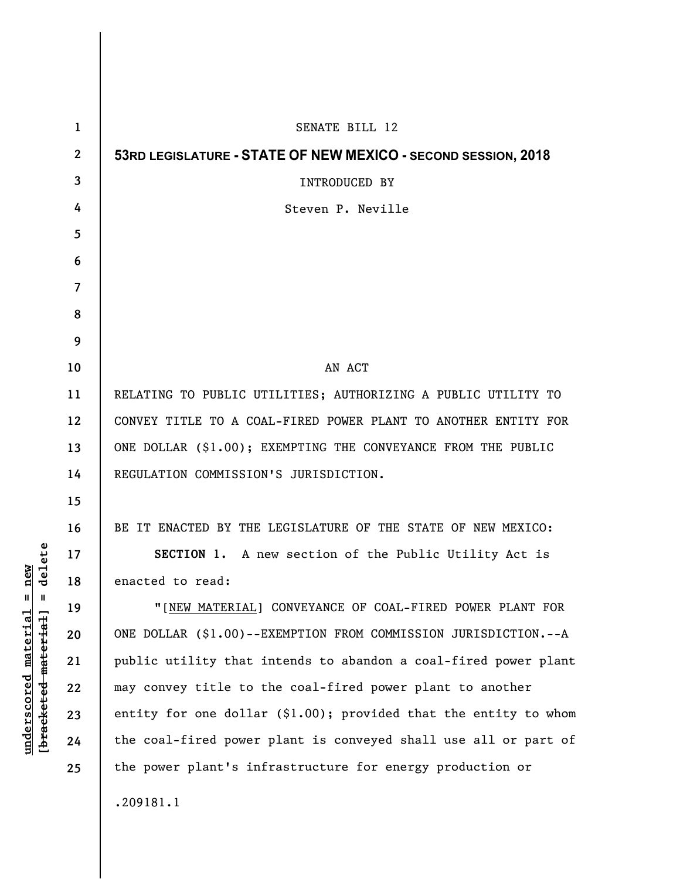| 53RD LEGISLATURE - STATE OF NEW MEXICO - SECOND SESSION, 2018                                                          |
|------------------------------------------------------------------------------------------------------------------------|
|                                                                                                                        |
|                                                                                                                        |
|                                                                                                                        |
|                                                                                                                        |
|                                                                                                                        |
|                                                                                                                        |
|                                                                                                                        |
|                                                                                                                        |
|                                                                                                                        |
|                                                                                                                        |
| RELATING TO PUBLIC UTILITIES; AUTHORIZING A PUBLIC UTILITY TO                                                          |
| CONVEY TITLE TO A COAL-FIRED POWER PLANT TO ANOTHER ENTITY FOR                                                         |
| ONE DOLLAR (\$1.00); EXEMPTING THE CONVEYANCE FROM THE PUBLIC                                                          |
|                                                                                                                        |
|                                                                                                                        |
| BE IT ENACTED BY THE LEGISLATURE OF THE STATE OF NEW MEXICO:                                                           |
| SECTION 1. A new section of the Public Utility Act is                                                                  |
|                                                                                                                        |
| "[NEW MATERIAL] CONVEYANCE OF COAL-FIRED POWER PLANT FOR                                                               |
| ONE DOLLAR (\$1.00)--EXEMPTION FROM COMMISSION JURISDICTION.--A                                                        |
| public utility that intends to abandon a coal-fired power plant                                                        |
|                                                                                                                        |
| entity for one dollar $(\$1.00)$ ; provided that the entity to whom                                                    |
| the coal-fired power plant is conveyed shall use all or part of                                                        |
|                                                                                                                        |
|                                                                                                                        |
| may convey title to the coal-fired power plant to another<br>the power plant's infrastructure for energy production or |

 $[bracketeed-materiat] = delete$ **[bracketed material] = delete**  $underscored material = new$ **underscored material = new**